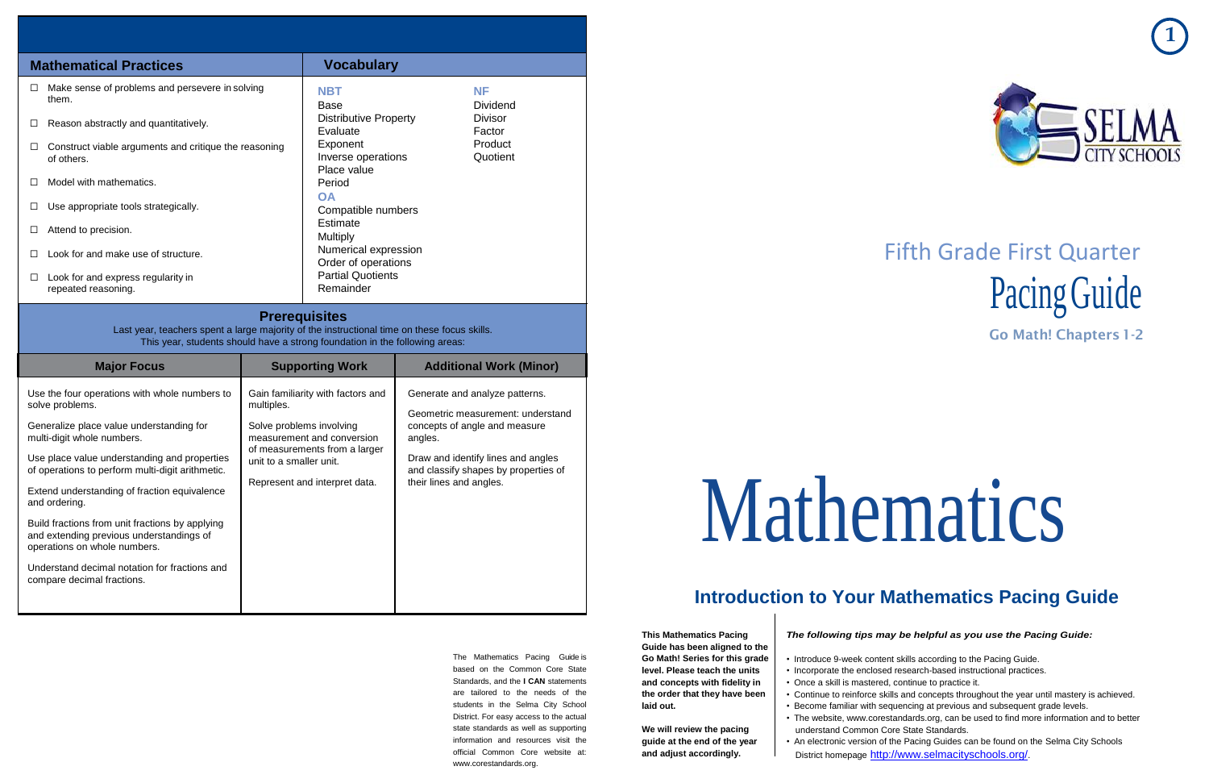



# Fifth Grade First Quarter Pacing Guide

**Go Math! Chapters1-2**

# Mathematics

## **Introduction to Your Mathematics Pacing Guide**

#### The Mathematics Pacing Guide is based on the Common Core State Standards, and the **I CAN** statements are tailored to the needs of the students in the Selma City School District. For easy access to the actual state standards as well as supporting information and resources visit the official Common Core website at: [www.corestandards.org.](http://www.corestandards.org/)

**This Mathematics Pacing Guide has been aligned to the Go Math! Series for this grade level. Please teach the units and concepts with fidelity in the order that they have been laid out.**

> • An electronic version of the Pacing Guides can be found on the Selma City Schools District homepage <http://www.selmacityschools.org/>

**We will review the pacing guide at the end of the year and adjust accordingly.**

*The following tips may be helpful as you use the Pacing Guide:*

• Introduce 9-week content skills according to the Pacing Guide.

• Incorporate the enclosed research-based instructional practices.

• Once a skill is mastered, continue to practice it.

• Continue to reinforce skills and concepts throughout the year until mastery is achieved.

• Become familiar with sequencing at previous and subsequent grade levels.

• The website, [www.corestandards.org,](http://www.corestandards.org/) can be used to find more information and to better

- 
- 
- 
- 
- 
- understand Common Core State Standards.
- 

| <b>Mathematical Practices</b>                                                                                                                                                                      |  | <b>Vocabulary</b>                                                    |  |                                |  |
|----------------------------------------------------------------------------------------------------------------------------------------------------------------------------------------------------|--|----------------------------------------------------------------------|--|--------------------------------|--|
| Make sense of problems and persevere in solving<br>$\Box$<br>them.                                                                                                                                 |  | <b>NBT</b><br>Base                                                   |  | <b>NF</b><br><b>Dividend</b>   |  |
| Reason abstractly and quantitatively.<br>⊔                                                                                                                                                         |  | <b>Distributive Property</b><br>Evaluate                             |  | <b>Divisor</b><br>Factor       |  |
| Construct viable arguments and critique the reasoning<br>□<br>of others.                                                                                                                           |  | Product<br>Exponent<br>Quotient<br>Inverse operations<br>Place value |  |                                |  |
| Model with mathematics.<br>⊔                                                                                                                                                                       |  | Period<br><b>OA</b>                                                  |  |                                |  |
| Use appropriate tools strategically.                                                                                                                                                               |  | Compatible numbers                                                   |  |                                |  |
| Attend to precision.                                                                                                                                                                               |  | Estimate<br>Multiply                                                 |  |                                |  |
| Look for and make use of structure.                                                                                                                                                                |  | Numerical expression<br>Order of operations                          |  |                                |  |
| Look for and express regularity in<br>□<br>repeated reasoning.                                                                                                                                     |  | <b>Partial Quotients</b><br>Remainder                                |  |                                |  |
| <b>Prerequisites</b><br>Last year, teachers spent a large majority of the instructional time on these focus skills.<br>This year, students should have a strong foundation in the following areas: |  |                                                                      |  |                                |  |
| <b>Major Focus</b>                                                                                                                                                                                 |  | <b>Supporting Work</b>                                               |  | <b>Additional Work (Minor)</b> |  |
| Use the four operations with whole numbers to<br>solve problems.<br>multiples.                                                                                                                     |  | Gain familiarity with factors and<br>Generate and analyze patterns.  |  |                                |  |

Generalize place value understanding for

multi-digit whole numbers.

and ordering.

operations on whole numbers.

Understand decimal notation for fractions and

compare decimal fractions.

Use place value understanding and properties of operations to perform multi-digit arithmetic. Extend understanding of fraction equivalence Build fractions from unit fractions by applying and extending previous understandings of multiples. Solve problems involving measurement and conversion of measurements from a larger unit to a smaller unit. Represent and interpret data. Geometric measurement: understand concepts of angle and measure angles. Draw and identify lines and angles and classify shapes by properties of their lines and angles.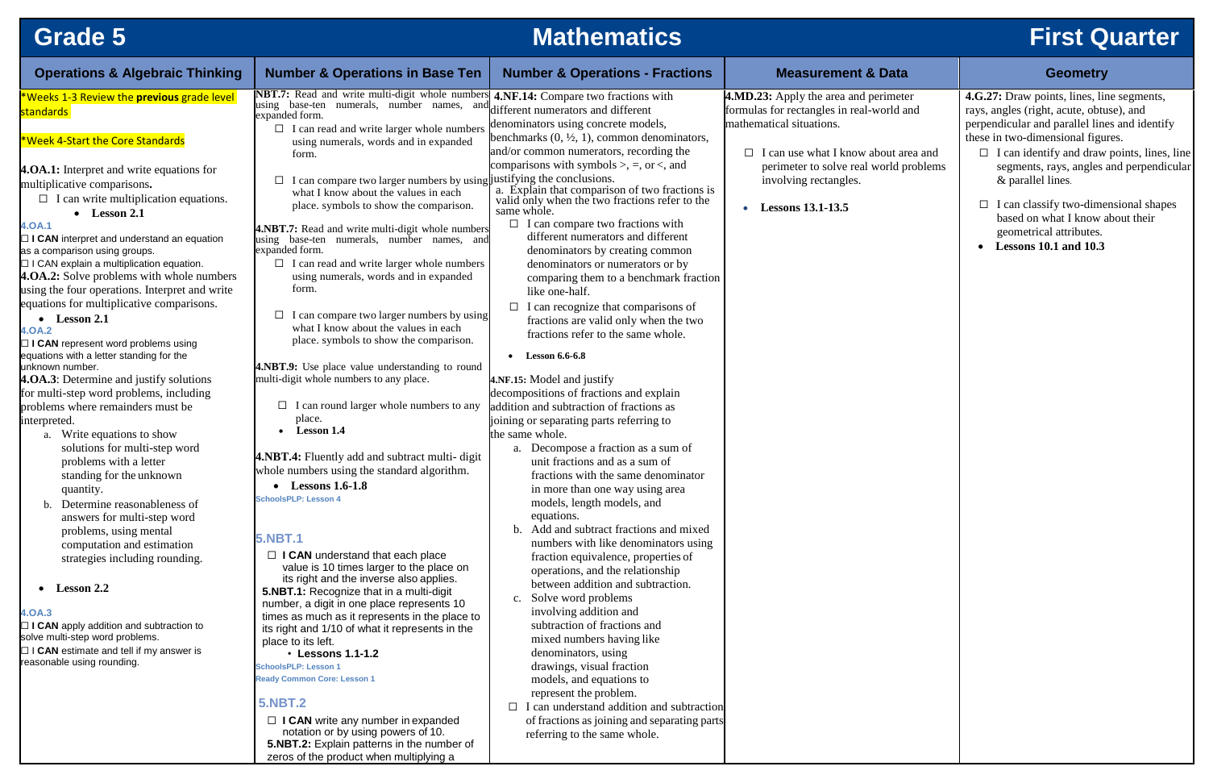## **Grade 5 Mathematics First Quarter**

| <b>Operations &amp; Algebraic Thinking</b>                                                                                                                                                                                                                                                                                                                                                                                                                                                                                                                                                                                                                                                                                                                                                                                                                                                                                                                                                                                                                                                                                      | <b>Number &amp; Operations in Base Ten</b>                                                                                                                                                                                                                                                                                                                                                                                                                                                                                                                                                                                                                                                                                                                                                                                                                                                                                                                                                                                                                                                                                  | <b>Number &amp; Operations - Fractions</b>                                                                                                                                                                                                                                                                                                                                                                                                                                                                                                                                                                                                                                                                                                                                                                                                                                                                                                                                                                                                                                                                                                                                                                                                                  | <b>Measurement &amp; Data</b>                                                                                                                                                                                                                                       | <b>Geometry</b>                                                                                                                                                                                                                                                                                                                                                                                                                               |
|---------------------------------------------------------------------------------------------------------------------------------------------------------------------------------------------------------------------------------------------------------------------------------------------------------------------------------------------------------------------------------------------------------------------------------------------------------------------------------------------------------------------------------------------------------------------------------------------------------------------------------------------------------------------------------------------------------------------------------------------------------------------------------------------------------------------------------------------------------------------------------------------------------------------------------------------------------------------------------------------------------------------------------------------------------------------------------------------------------------------------------|-----------------------------------------------------------------------------------------------------------------------------------------------------------------------------------------------------------------------------------------------------------------------------------------------------------------------------------------------------------------------------------------------------------------------------------------------------------------------------------------------------------------------------------------------------------------------------------------------------------------------------------------------------------------------------------------------------------------------------------------------------------------------------------------------------------------------------------------------------------------------------------------------------------------------------------------------------------------------------------------------------------------------------------------------------------------------------------------------------------------------------|-------------------------------------------------------------------------------------------------------------------------------------------------------------------------------------------------------------------------------------------------------------------------------------------------------------------------------------------------------------------------------------------------------------------------------------------------------------------------------------------------------------------------------------------------------------------------------------------------------------------------------------------------------------------------------------------------------------------------------------------------------------------------------------------------------------------------------------------------------------------------------------------------------------------------------------------------------------------------------------------------------------------------------------------------------------------------------------------------------------------------------------------------------------------------------------------------------------------------------------------------------------|---------------------------------------------------------------------------------------------------------------------------------------------------------------------------------------------------------------------------------------------------------------------|-----------------------------------------------------------------------------------------------------------------------------------------------------------------------------------------------------------------------------------------------------------------------------------------------------------------------------------------------------------------------------------------------------------------------------------------------|
| <b>*Weeks 1-3 Review the previous grade level</b><br>standards<br><b>*Week 4-Start the Core Standards</b><br><b>4.0A.1:</b> Interpret and write equations for<br>multiplicative comparisons.<br>$\Box$ I can write multiplication equations.<br>$\bullet$ Lesson 2.1<br>4.0A.1<br>$\Box$ I CAN interpret and understand an equation<br>as a comparison using groups.<br>$\Box$ I CAN explain a multiplication equation.<br><b>4.0A.2:</b> Solve problems with whole numbers<br>using the four operations. Interpret and write<br>equations for multiplicative comparisons.<br>$\bullet$ Lesson 2.1<br>4.0A.2<br>$\Box$ I CAN represent word problems using<br>equations with a letter standing for the<br>unknown number.<br>4.0A.3: Determine and justify solutions<br>for multi-step word problems, including<br>problems where remainders must be<br>interpreted.<br>Write equations to show<br>a.<br>solutions for multi-step word<br>problems with a letter<br>standing for the unknown<br>quantity.<br>Determine reasonableness of<br>answers for multi-step word<br>problems, using mental<br>computation and estimation | NBT.7: Read and write multi-digit whole number<br>using base-ten numerals, number names, and<br>expanded form.<br>$\Box$ I can read and write larger whole numbers<br>using numerals, words and in expanded<br>form.<br>I can compare two larger numbers by using justifying the conclusions.<br>$\Box$<br>what I know about the values in each<br>place. symbols to show the comparison.<br>4.NBT.7: Read and write multi-digit whole numbers<br>base-ten numerals, number names, and<br>using<br>expanded form.<br>$\Box$ I can read and write larger whole numbers<br>using numerals, words and in expanded<br>form.<br>I can compare two larger numbers by using<br>what I know about the values in each<br>place. symbols to show the comparison.<br>4.NBT.9: Use place value understanding to round<br>multi-digit whole numbers to any place.<br>$\Box$ I can round larger whole numbers to any<br>place.<br><b>Lesson 1.4</b><br><b>4.NBT.4:</b> Fluently add and subtract multi-digit<br>whole numbers using the standard algorithm.<br>$\bullet$ Lessons 1.6-1.8<br><b>SchoolsPLP: Lesson 4</b><br><b>5.NBT.1</b> | <b>4.NF.14:</b> Compare two fractions with<br>different numerators and different<br>denominators using concrete models,<br>benchmarks $(0, \frac{1}{2}, 1)$ , common denominators,<br>and/or common numerators, recording the<br>comparisons with symbols $\ge$ , $=$ , or $\lt$ , and<br>a. Explain that comparison of two fractions is<br>valid only when the two fractions refer to the<br>same whole.<br>$\Box$ I can compare two fractions with<br>different numerators and different<br>denominators by creating common<br>denominators or numerators or by<br>comparing them to a benchmark fraction<br>like one-half.<br>$\Box$ I can recognize that comparisons of<br>fractions are valid only when the two<br>fractions refer to the same whole.<br>• Lesson $6.6 - 6.8$<br>4.NF.15: Model and justify<br>decompositions of fractions and explain<br>addition and subtraction of fractions as<br>joining or separating parts referring to<br>the same whole.<br>Decompose a fraction as a sum of<br>a.<br>unit fractions and as a sum of<br>fractions with the same denominator<br>in more than one way using area<br>models, length models, and<br>equations.<br>b. Add and subtract fractions and mixed<br>numbers with like denominators using | <b>4.MD.23:</b> Apply the area and perimeter<br>formulas for rectangles in real-world and<br>mathematical situations.<br>$\Box$ I can use what I know about area and<br>perimeter to solve real world problems<br>involving rectangles.<br><b>Lessons 13.1-13.5</b> | 4.G.27: Draw points, lines, line segments,<br>rays, angles (right, acute, obtuse), and<br>perpendicular and parallel lines and identify<br>these in two-dimensional figures.<br>$\Box$ I can identify and draw points, lines, line<br>segments, rays, angles and perpendicular<br>& parallel lines.<br>$\Box$ I can classify two-dimensional shapes<br>based on what I know about their<br>geometrical attributes.<br>• Lessons 10.1 and 10.3 |
| strategies including rounding.<br>$\bullet$ Lesson 2.2<br>4.0A.3<br>$\Box$ I CAN apply addition and subtraction to<br>solve multi-step word problems.<br>$\Box$ I CAN estimate and tell if my answer is<br>reasonable using rounding.                                                                                                                                                                                                                                                                                                                                                                                                                                                                                                                                                                                                                                                                                                                                                                                                                                                                                           | $\Box$ I CAN understand that each place<br>value is 10 times larger to the place on<br>its right and the inverse also applies.<br>5.NBT.1: Recognize that in a multi-digit<br>number, a digit in one place represents 10<br>times as much as it represents in the place to<br>its right and 1/10 of what it represents in the<br>place to its left.<br>• Lessons 1.1-1.2<br><b>SchoolsPLP: Lesson 1</b><br><b>Ready Common Core: Lesson 1</b><br><b>5.NBT.2</b><br>$\Box$ I CAN write any number in expanded<br>notation or by using powers of 10.<br>5.NBT.2: Explain patterns in the number of<br>zeros of the product when multiplying a                                                                                                                                                                                                                                                                                                                                                                                                                                                                                 | fraction equivalence, properties of<br>operations, and the relationship<br>between addition and subtraction.<br>Solve word problems<br>c.<br>involving addition and<br>subtraction of fractions and<br>mixed numbers having like<br>denominators, using<br>drawings, visual fraction<br>models, and equations to<br>represent the problem.<br>$\Box$ I can understand addition and subtraction<br>of fractions as joining and separating parts<br>referring to the same whole.                                                                                                                                                                                                                                                                                                                                                                                                                                                                                                                                                                                                                                                                                                                                                                              |                                                                                                                                                                                                                                                                     |                                                                                                                                                                                                                                                                                                                                                                                                                                               |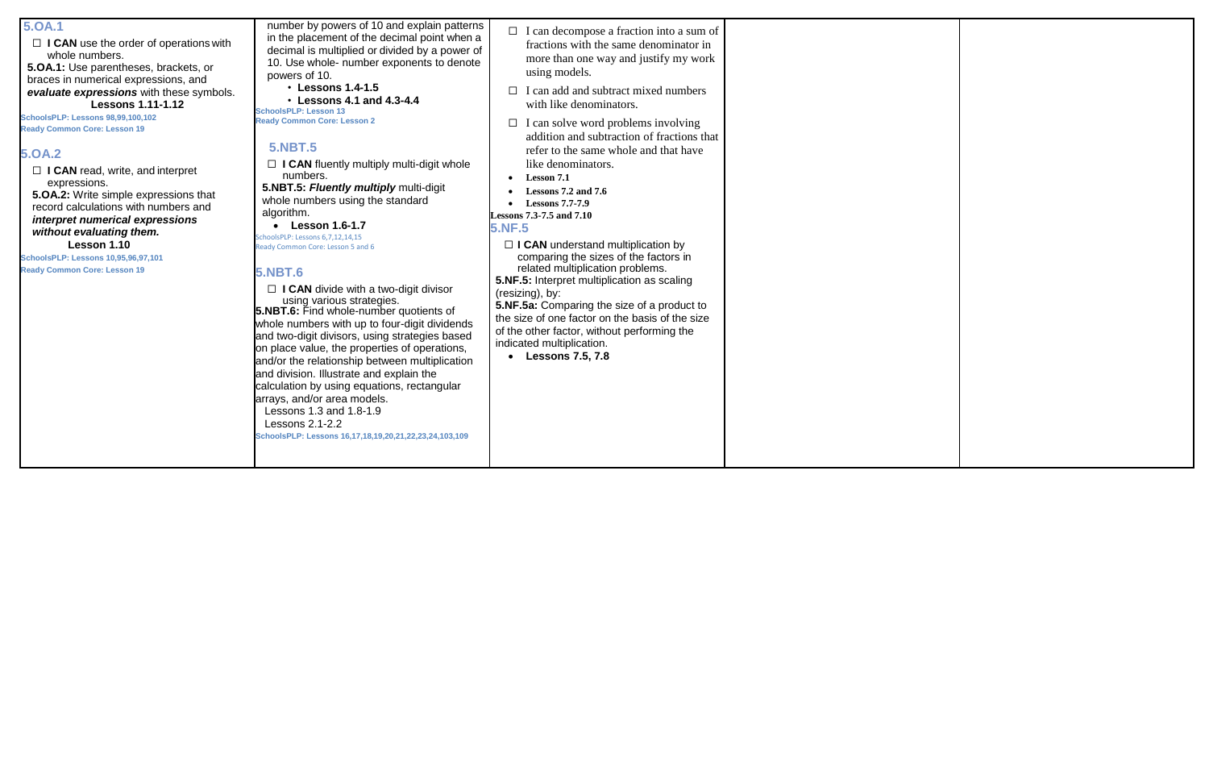#### **5.OA.1**

□ **I CAN** use the order of operations with whole numbers.

**5.OA.1:** Use parentheses, brackets, or braces in numerical expressions, and *evaluate expressions* with these symbols. **Lessons 1.11-1.12**

□ **I CAN** read, write, and interpret expressions.

**SchoolsPLP: Lessons 98,99,100,102 Ready Common Core: Lesson 19**

### **5.OA.2**

**5.OA.2:** Write simple expressions that record calculations with numbers and *interpret numerical expressions without evaluating them.* **Lesson 1.10**

### **SchoolsPLP: Lessons 10,95,96,97,101**

□ **I CAN** fluently multiply multi-digit whole numbers. **5.NBT.5:** *Fluently multiply* multi-digit whole numbers using the standard algorithm.

**Ready Common Core: Lesson 19**

number by powers of 10 and explain patterns in the placement of the decimal point when a decimal is multiplied or divided by a power of 10. Use whole- number exponents to denote powers of 10.

• **Lessons 1.4-1.5** • **Lessons 4.1 and 4.3-4.4 SchoolsPLP: Lesson 13**

□ **I CAN** divide with a two-digit divisor using various strategies. **5.NBT.6:** Find whole-number quotients of whole numbers with up to four-digit dividends and two-digit divisors, using strategies based on place value, the properties of operations, and/or the relationship between multiplication and division. Illustrate and explain the calculation by using equations, rectangular arrays, and/or area models. Lessons 1.3 and 1.8-1.9 Lessons 2.1-2.2 **SchoolsPLP: Lessons 16,17,18,19,20,21,22,23,24,103,109**

**Ready Common Core: Lesson 2**

### **5.NBT.5**

 **Lesson 1.6-1.7** SchoolsPLP: Lessons 6,7,12,14,15 Ready Common Core: Lesson 5 and 6

□ **I CAN** understand multiplication by comparing the sizes of the factors in related multiplication problems.

### **5.NBT.6**

- ☐ I can decompose a fraction into a sum of fractions with the same denominator in more than one way and justify my work using models.
- $\Box$  I can add and subtract mixed numbers with like denominators.
- $\Box$  I can solve word problems involving addition and subtraction of fractions that refer to the same whole and that have like denominators.
- **Lesson 7.1**
- **Lessons 7.2 and 7.6**
- **Lessons 7.7-7.9**

**Lessons 7.3-7.5 and 7.10**

**5.NF.5**

**5.NF.5:** Interpret multiplication as scaling (resizing), by:

**5.NF.5a:** Comparing the size of a product to the size of one factor on the basis of the size of the other factor, without performing the indicated multiplication.

**Lessons 7.5, 7.8**

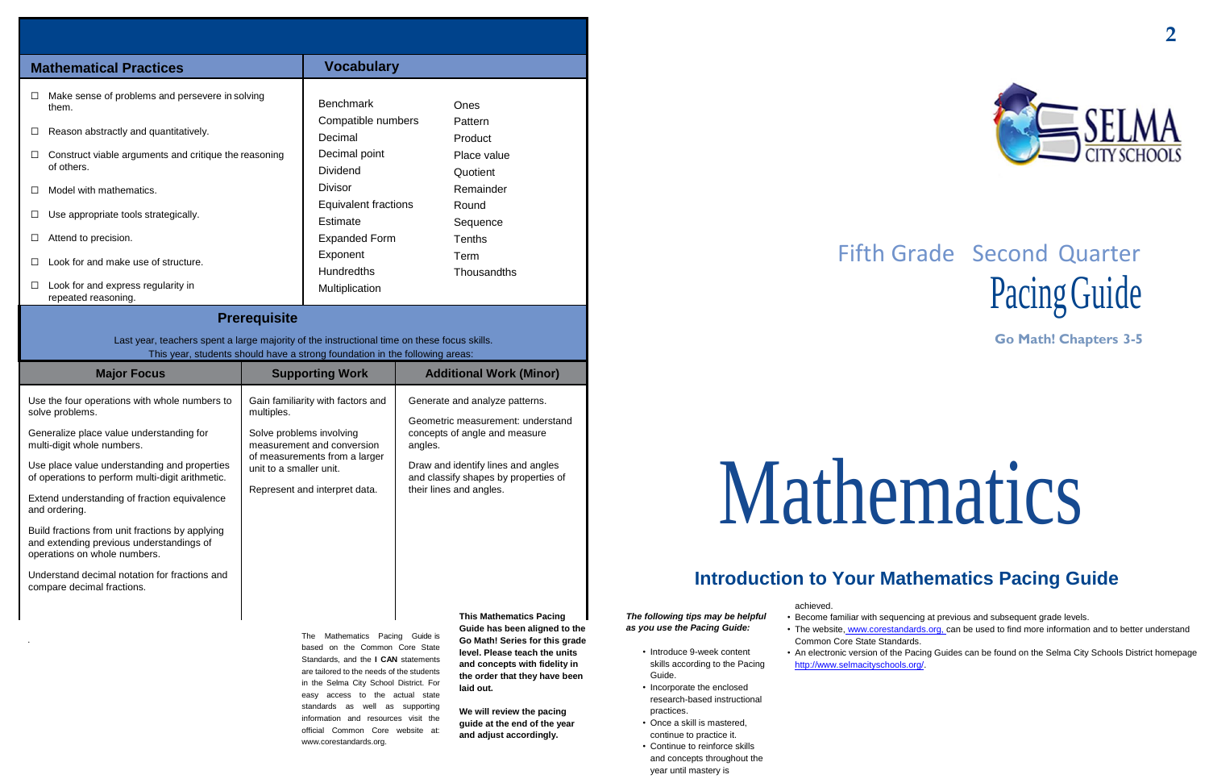# Fifth Grade Second Quarter Pacing Guide

**Go Math! Chapters 3-5**

# Mathematics

## **Introduction to Your Mathematics Pacing Guide**

.

The Mathematics Pacing Guide is based on the Common Core State Standards, and the **I CAN** statements are tailored to the needs of the students in the Selma City School District. For easy access to the actual state standards as well as supporting information and resources visit the official Common Core website at: [www.corestandards.org.](http://www.corestandards.org/)

**Guide has been aligned to the Go Math! Series for this grade level. Please teach the units and concepts with fidelity in the order that they have been laid out.**

**We will review the pacing guide at the end of the year and adjust accordingly.**

*The following tips may be helpful as you use the Pacing Guide:*

- Introduce 9-week content skills according to the Pacing Guide.
- Incorporate the enclosed research-based instructional practices.
- Once a skill is mastered, continue to practice it.
- Continue to reinforce skills and concepts throughout the year until mastery is

achieved.

• Become familiar with sequencing at previous and subsequent grade levels.

• The website, [www.corestandards.org, c](http://www.corestandards.org/)an be used to find more information and to better understand

• An electronic version of the Pacing Guides can be found on the Selma City Schools District homepage

- 
- Common Core State Standards.
- [http://www.selmacityschools.org/.](http://www.selmacityschools.org/)



| <b>Major Focus</b>                                                                                                                                                                                                                                                                                                                                                                                                                                                                                                            | <b>Supporting Work</b>                                                                                                                                                                                 | <b>Additional Work (Minor)</b>                                                                                                                                                                                           |
|-------------------------------------------------------------------------------------------------------------------------------------------------------------------------------------------------------------------------------------------------------------------------------------------------------------------------------------------------------------------------------------------------------------------------------------------------------------------------------------------------------------------------------|--------------------------------------------------------------------------------------------------------------------------------------------------------------------------------------------------------|--------------------------------------------------------------------------------------------------------------------------------------------------------------------------------------------------------------------------|
| Use the four operations with whole numbers to<br>solve problems.<br>Generalize place value understanding for<br>multi-digit whole numbers.<br>Use place value understanding and properties<br>of operations to perform multi-digit arithmetic.<br>Extend understanding of fraction equivalence<br>and ordering.<br>Build fractions from unit fractions by applying<br>and extending previous understandings of<br>operations on whole numbers.<br>Understand decimal notation for fractions and<br>compare decimal fractions. | Gain familiarity with factors and<br>multiples.<br>Solve problems involving<br>measurement and conversion<br>of measurements from a larger<br>unit to a smaller unit.<br>Represent and interpret data. | Generate and analyze patterns.<br>Geometric measurement: understand<br>concepts of angle and measure<br>angles.<br>Draw and identify lines and angles<br>and classify shapes by properties of<br>their lines and angles. |
|                                                                                                                                                                                                                                                                                                                                                                                                                                                                                                                               |                                                                                                                                                                                                        | <b>This Mathematics Pacing</b><br>And de trace tracer all model to the                                                                                                                                                   |

| <b>Mathematical Practices</b>                                                                                                                                              | <b>Vocabulary</b>                              |                         |  |  |  |
|----------------------------------------------------------------------------------------------------------------------------------------------------------------------------|------------------------------------------------|-------------------------|--|--|--|
| Make sense of problems and persevere in solving<br>$\Box$<br>them.                                                                                                         | <b>Benchmark</b>                               | Ones                    |  |  |  |
| Reason abstractly and quantitatively.<br>$\Box$                                                                                                                            | Compatible numbers<br>Decimal                  | Pattern<br>Product      |  |  |  |
| Construct viable arguments and critique the reasoning<br>of others.                                                                                                        | Decimal point<br><b>Dividend</b>               | Place value<br>Quotient |  |  |  |
| Model with mathematics.<br>$\mathsf{L}$                                                                                                                                    | Divisor                                        | Remainder               |  |  |  |
| Use appropriate tools strategically.<br>□                                                                                                                                  | <b>Equivalent fractions</b><br><b>Estimate</b> | Round<br>Sequence       |  |  |  |
| Attend to precision.<br>$\Box$                                                                                                                                             | <b>Expanded Form</b>                           | <b>Tenths</b>           |  |  |  |
| Look for and make use of structure.<br>П                                                                                                                                   | Exponent<br><b>Hundredths</b>                  | Term<br>Thousandths     |  |  |  |
| Look for and express regularity in<br>□<br>repeated reasoning.                                                                                                             | Multiplication                                 |                         |  |  |  |
| <b>Prerequisite</b>                                                                                                                                                        |                                                |                         |  |  |  |
| Last year, teachers spent a large majority of the instructional time on these focus skills.<br>This year, students should have a strong foundation in the following areas: |                                                |                         |  |  |  |
| <b>Additional Work (Minor)</b><br><b>Major Focus</b><br><b>Supporting Work</b>                                                                                             |                                                |                         |  |  |  |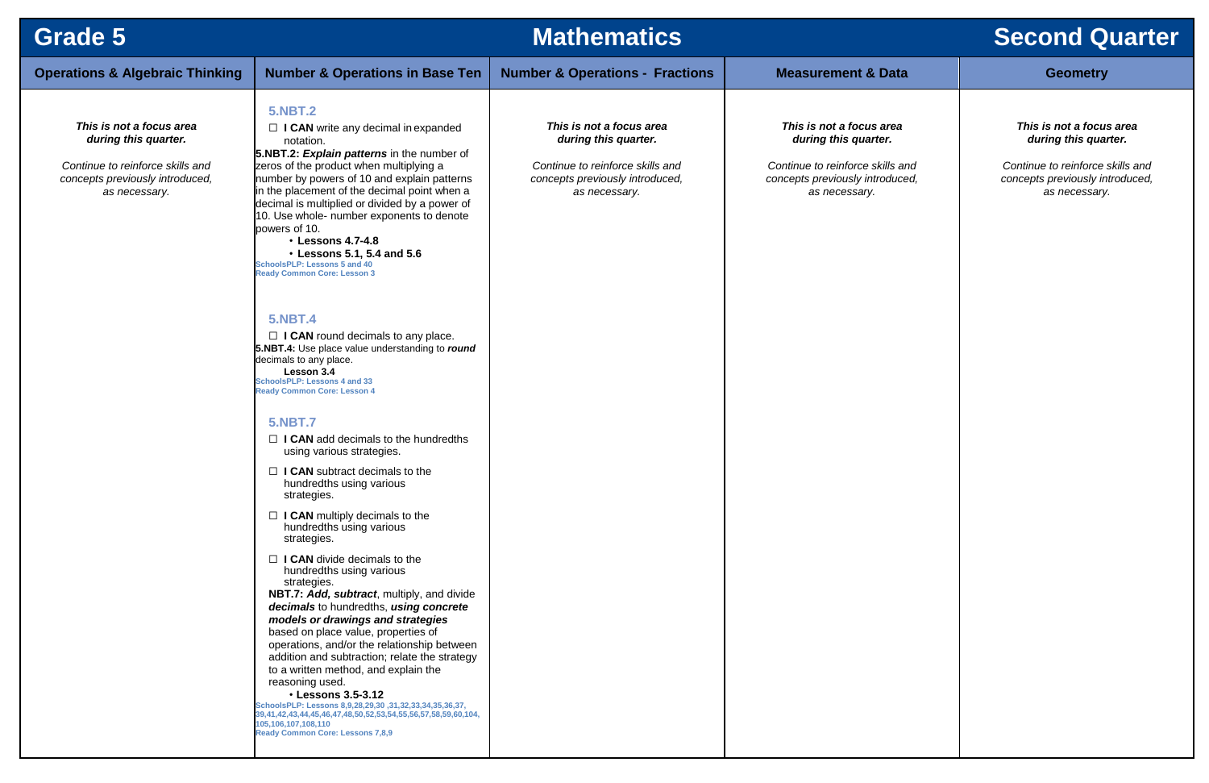| <b>Grade 5</b>                                                                                                                           |                                                                                                                                                                                                                                                                                                                                                                                                                                                                                                                                                                                                                                                                                                                                                                                                                                                                                                                                                                                                                                                                                                                                                                                                                                                                                                                                                                                                                                                                                                                                                                                                                                                                                   | <b>Mathematics</b>                                                                                                                       |                                                                                                                                          | <b>Second Quarter</b>                                                                                                                    |
|------------------------------------------------------------------------------------------------------------------------------------------|-----------------------------------------------------------------------------------------------------------------------------------------------------------------------------------------------------------------------------------------------------------------------------------------------------------------------------------------------------------------------------------------------------------------------------------------------------------------------------------------------------------------------------------------------------------------------------------------------------------------------------------------------------------------------------------------------------------------------------------------------------------------------------------------------------------------------------------------------------------------------------------------------------------------------------------------------------------------------------------------------------------------------------------------------------------------------------------------------------------------------------------------------------------------------------------------------------------------------------------------------------------------------------------------------------------------------------------------------------------------------------------------------------------------------------------------------------------------------------------------------------------------------------------------------------------------------------------------------------------------------------------------------------------------------------------|------------------------------------------------------------------------------------------------------------------------------------------|------------------------------------------------------------------------------------------------------------------------------------------|------------------------------------------------------------------------------------------------------------------------------------------|
| <b>Operations &amp; Algebraic Thinking</b>                                                                                               | <b>Number &amp; Operations in Base Ten</b>                                                                                                                                                                                                                                                                                                                                                                                                                                                                                                                                                                                                                                                                                                                                                                                                                                                                                                                                                                                                                                                                                                                                                                                                                                                                                                                                                                                                                                                                                                                                                                                                                                        | <b>Number &amp; Operations - Fractions</b>                                                                                               | <b>Measurement &amp; Data</b>                                                                                                            | <b>Geometry</b>                                                                                                                          |
| This is not a focus area<br>during this quarter.<br>Continue to reinforce skills and<br>concepts previously introduced,<br>as necessary. | <b>5.NBT.2</b><br>$\Box$ I CAN write any decimal in expanded<br>notation.<br>5.NBT.2: Explain patterns in the number of<br>zeros of the product when multiplying a<br>number by powers of 10 and explain patterns<br>in the placement of the decimal point when a<br>decimal is multiplied or divided by a power of<br>10. Use whole- number exponents to denote<br>powers of 10.<br><b>· Lessons 4.7-4.8</b><br>• Lessons 5.1, 5.4 and 5.6<br><b>SchoolsPLP: Lessons 5 and 40</b><br><b>Ready Common Core: Lesson 3</b><br><b>5.NBT.4</b><br>$\Box$ I CAN round decimals to any place.<br>5.NBT.4: Use place value understanding to round<br>decimals to any place.<br>Lesson 3.4<br><b>SchoolsPLP: Lessons 4 and 33</b><br><b>Ready Common Core: Lesson 4</b><br><b>5.NBT.7</b><br>$\Box$ I CAN add decimals to the hundredths<br>using various strategies.<br>$\Box$ I CAN subtract decimals to the<br>hundredths using various<br>strategies.<br>$\Box$ I CAN multiply decimals to the<br>hundredths using various<br>strategies.<br>$\Box$ I CAN divide decimals to the<br>hundredths using various<br>strategies.<br>NBT.7: Add, subtract, multiply, and divide<br>decimals to hundredths, using concrete<br>models or drawings and strategies<br>based on place value, properties of<br>operations, and/or the relationship between<br>addition and subtraction; relate the strategy<br>to a written method, and explain the<br>reasoning used.<br><b>· Lessons 3.5-3.12</b><br>SchoolsPLP: Lessons 8,9,28,29,30 ,31,32,33,34,35,36,37,<br>39,41,42,43,44,45,46,47,48,50,52,53,54,55,56,57,58,59,60,104,<br>105,106,107,108,110<br><b>Ready Common Core: Lessons 7,8,9</b> | This is not a focus area<br>during this quarter.<br>Continue to reinforce skills and<br>concepts previously introduced,<br>as necessary. | This is not a focus area<br>during this quarter.<br>Continue to reinforce skills and<br>concepts previously introduced,<br>as necessary. | This is not a focus area<br>during this quarter.<br>Continue to reinforce skills and<br>concepts previously introduced,<br>as necessary. |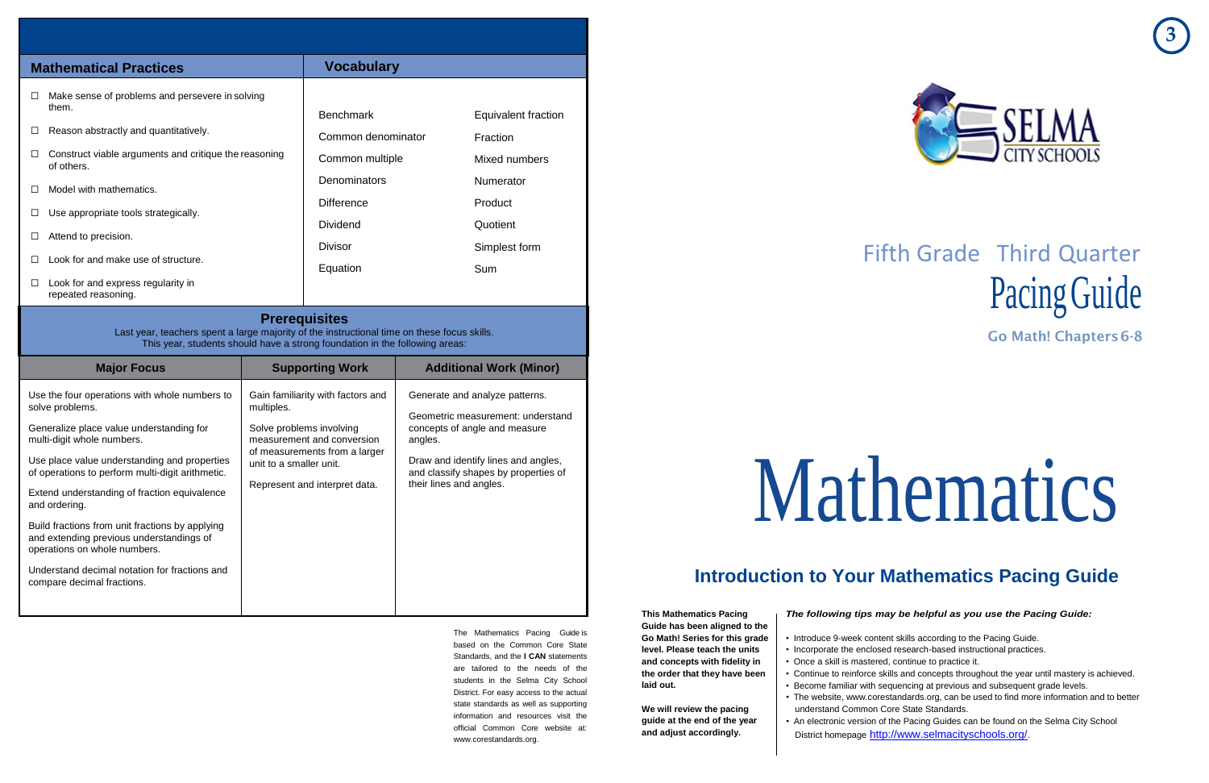



# Fifth Grade Third Quarter Pacing Guide

**Go Math! Chapters6-8**

# Mathematics

## **Introduction to Your Mathematics Pacing Guide**

The Mathematics Pacing Guide is based on the Common Core State Standards, and the **I CAN** statements are tailored to the needs of the students in the Selma City School District. For easy access to the actual state standards as well as supporting information and resources visit the official Common Core website at: [www.corestandards.org.](http://www.corestandards.org/)

**This Mathematics Pacing Guide has been aligned to the Go Math! Series for this grade level. Please teach the units and concepts with fidelity in the order that they have been laid out.**

**We will review the pacing guide at the end of the year and adjust accordingly.**

#### *The following tips may be helpful as you use the Pacing Guide:*

- Introduce 9-week content skills according to the Pacing Guide.
- Incorporate the enclosed research-based instructional practices.
- Once a skill is mastered, continue to practice it.
- Continue to reinforce skills and concepts throughout the year until mastery is achieved.
- Become familiar with sequencing at previous and subsequent grade levels.
- understand Common Core State Standards.
- An electronic version of the Pacing Guides can be found on the Selma City School District homepage <http://www.selmacityschools.org/>.

• The website, [www.corestandards.org,](http://www.corestandards.org/) can be used to find more information and to better

| <b>Mathematical Practices</b>                                                                                                                                                                      | <b>Vocabulary</b>                    |                     |  |  |
|----------------------------------------------------------------------------------------------------------------------------------------------------------------------------------------------------|--------------------------------------|---------------------|--|--|
| Make sense of problems and persevere in solving<br>□<br>them.                                                                                                                                      | <b>Benchmark</b>                     | Equivalent fraction |  |  |
| Reason abstractly and quantitatively.<br>⊔                                                                                                                                                         | Common denominator                   | Fraction            |  |  |
| Construct viable arguments and critique the reasoning<br>of others.                                                                                                                                | Common multiple                      | Mixed numbers       |  |  |
| Model with mathematics.<br>$\Box$                                                                                                                                                                  | Denominators                         | Numerator           |  |  |
| Use appropriate tools strategically.<br>⊔                                                                                                                                                          | <b>Difference</b><br><b>Dividend</b> | Product<br>Quotient |  |  |
| Attend to precision.<br>□                                                                                                                                                                          | <b>Divisor</b>                       | Simplest form       |  |  |
| Look for and make use of structure.<br>⊔                                                                                                                                                           | Equation                             | Sum                 |  |  |
| Look for and express regularity in<br>□<br>repeated reasoning.                                                                                                                                     |                                      |                     |  |  |
| <b>Prerequisites</b><br>Last year, teachers spent a large majority of the instructional time on these focus skills.<br>This year, students should have a strong foundation in the following areas: |                                      |                     |  |  |

| <b>Major Focus</b>                                                                                                                                                                                                                                                                                                                                                                                                                                                                                                            | <b>Supporting Work</b>                                                                                                                                                                                 | <b>Additional Work (Minor)</b>                                                                                                                                                                                            |
|-------------------------------------------------------------------------------------------------------------------------------------------------------------------------------------------------------------------------------------------------------------------------------------------------------------------------------------------------------------------------------------------------------------------------------------------------------------------------------------------------------------------------------|--------------------------------------------------------------------------------------------------------------------------------------------------------------------------------------------------------|---------------------------------------------------------------------------------------------------------------------------------------------------------------------------------------------------------------------------|
| Use the four operations with whole numbers to<br>solve problems.<br>Generalize place value understanding for<br>multi-digit whole numbers.<br>Use place value understanding and properties<br>of operations to perform multi-digit arithmetic.<br>Extend understanding of fraction equivalence<br>and ordering.<br>Build fractions from unit fractions by applying<br>and extending previous understandings of<br>operations on whole numbers.<br>Understand decimal notation for fractions and<br>compare decimal fractions. | Gain familiarity with factors and<br>multiples.<br>Solve problems involving<br>measurement and conversion<br>of measurements from a larger<br>unit to a smaller unit.<br>Represent and interpret data. | Generate and analyze patterns.<br>Geometric measurement: understand<br>concepts of angle and measure<br>angles.<br>Draw and identify lines and angles,<br>and classify shapes by properties of<br>their lines and angles. |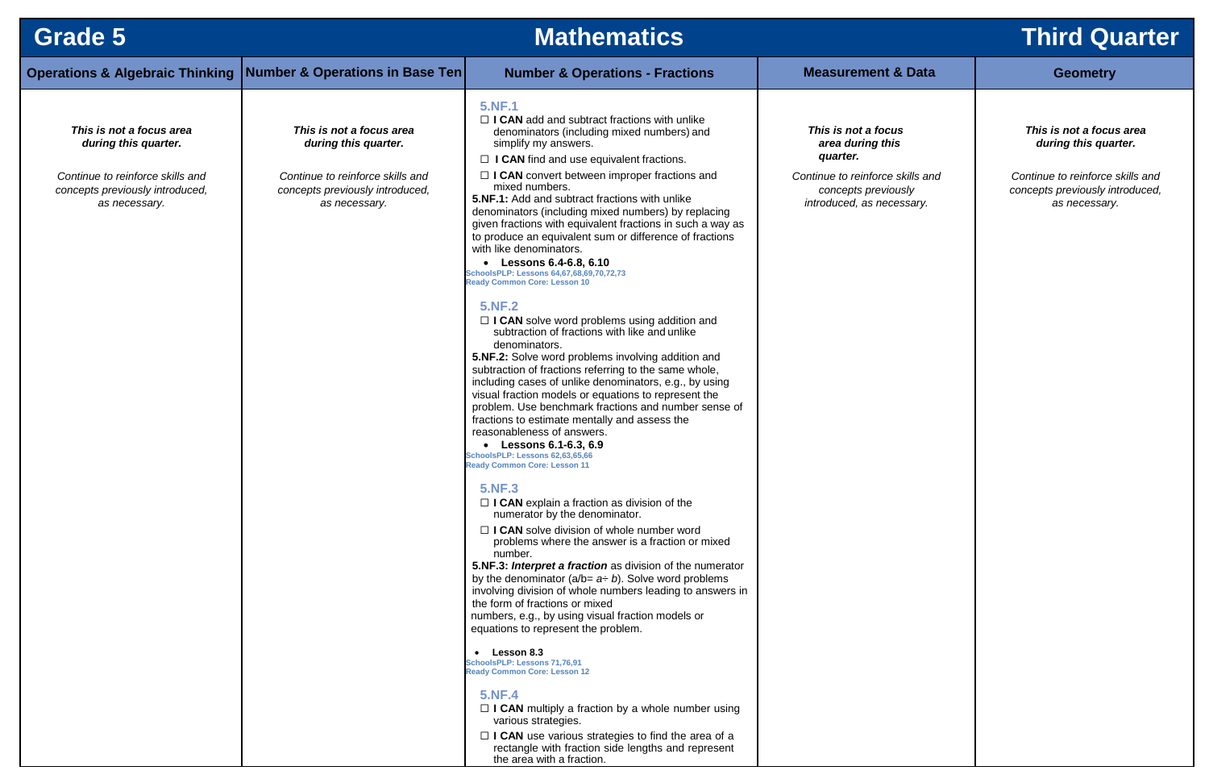| <b>Grade 5</b>                                                                       |                                                                                      | <b>Mathematics</b>                                                                                                                                                                                                                                                                                                                                                                                                                                                                                                                                                                                                                                                                                                                                                                                                                                                                                                                                                                                                                                                                                                                                                                                                                                                                                                                                                                                                                                                                                                                                                                                                                                                                                                                                                                                                                                                                                                                                                                          |                                                                                      | <b>Third Qu</b>                                                 |
|--------------------------------------------------------------------------------------|--------------------------------------------------------------------------------------|---------------------------------------------------------------------------------------------------------------------------------------------------------------------------------------------------------------------------------------------------------------------------------------------------------------------------------------------------------------------------------------------------------------------------------------------------------------------------------------------------------------------------------------------------------------------------------------------------------------------------------------------------------------------------------------------------------------------------------------------------------------------------------------------------------------------------------------------------------------------------------------------------------------------------------------------------------------------------------------------------------------------------------------------------------------------------------------------------------------------------------------------------------------------------------------------------------------------------------------------------------------------------------------------------------------------------------------------------------------------------------------------------------------------------------------------------------------------------------------------------------------------------------------------------------------------------------------------------------------------------------------------------------------------------------------------------------------------------------------------------------------------------------------------------------------------------------------------------------------------------------------------------------------------------------------------------------------------------------------------|--------------------------------------------------------------------------------------|-----------------------------------------------------------------|
|                                                                                      | <b>Operations &amp; Algebraic Thinking   Number &amp; Operations in Base Ten </b>    | <b>Number &amp; Operations - Fractions</b>                                                                                                                                                                                                                                                                                                                                                                                                                                                                                                                                                                                                                                                                                                                                                                                                                                                                                                                                                                                                                                                                                                                                                                                                                                                                                                                                                                                                                                                                                                                                                                                                                                                                                                                                                                                                                                                                                                                                                  | <b>Measurement &amp; Data</b>                                                        | <b>Geometry</b>                                                 |
| This is not a focus area<br>during this quarter.                                     | This is not a focus area<br>during this quarter.                                     | <b>5.NF.1</b><br>$\Box$ I CAN add and subtract fractions with unlike<br>denominators (including mixed numbers) and<br>simplify my answers.<br>$\Box$ I CAN find and use equivalent fractions.                                                                                                                                                                                                                                                                                                                                                                                                                                                                                                                                                                                                                                                                                                                                                                                                                                                                                                                                                                                                                                                                                                                                                                                                                                                                                                                                                                                                                                                                                                                                                                                                                                                                                                                                                                                               | This is not a focus<br>area during this<br>quarter.                                  | This is not a focu<br>during this qua                           |
| Continue to reinforce skills and<br>concepts previously introduced,<br>as necessary. | Continue to reinforce skills and<br>concepts previously introduced,<br>as necessary. | $\Box$ I CAN convert between improper fractions and<br>mixed numbers.<br>5.NF.1: Add and subtract fractions with unlike<br>denominators (including mixed numbers) by replacing<br>given fractions with equivalent fractions in such a way as<br>to produce an equivalent sum or difference of fractions<br>with like denominators.<br>Lessons 6.4-6.8, 6.10<br>SchoolsPLP: Lessons 64,67,68,69,70,72,73<br><b>Ready Common Core: Lesson 10</b><br><b>5.NF.2</b><br>$\Box$ I CAN solve word problems using addition and<br>subtraction of fractions with like and unlike<br>denominators.<br>5.NF.2: Solve word problems involving addition and<br>subtraction of fractions referring to the same whole,<br>including cases of unlike denominators, e.g., by using<br>visual fraction models or equations to represent the<br>problem. Use benchmark fractions and number sense of<br>fractions to estimate mentally and assess the<br>reasonableness of answers.<br><b>Lessons 6.1-6.3, 6.9</b><br>$\bullet$<br>SchoolsPLP: Lessons 62,63,65,66<br><b>Ready Common Core: Lesson 11</b><br><b>5.NF.3</b><br>$\Box$ <b>I CAN</b> explain a fraction as division of the<br>numerator by the denominator.<br>$\Box$ I CAN solve division of whole number word<br>problems where the answer is a fraction or mixed<br>number.<br>5.NF.3: Interpret a fraction as division of the numerator<br>by the denominator ( $a/b = a \div b$ ). Solve word problems<br>involving division of whole numbers leading to answers in<br>the form of fractions or mixed<br>numbers, e.g., by using visual fraction models or<br>equations to represent the problem.<br>• Lesson 8.3<br>SchoolsPLP: Lessons 71,76,91<br><b>Ready Common Core: Lesson 12</b><br><b>5.NF.4</b><br>$\Box$ I CAN multiply a fraction by a whole number using<br>various strategies.<br>$\Box$ I CAN use various strategies to find the area of a<br>rectangle with fraction side lengths and represent<br>the area with a fraction. | Continue to reinforce skills and<br>concepts previously<br>introduced, as necessary. | Continue to reinforce<br>concepts previously in<br>as necessary |

## **Third Quarter**

#### *This is not a focus area during this quarter.*

*Continue to reinforce skills and concepts previously introduced, as necessary.*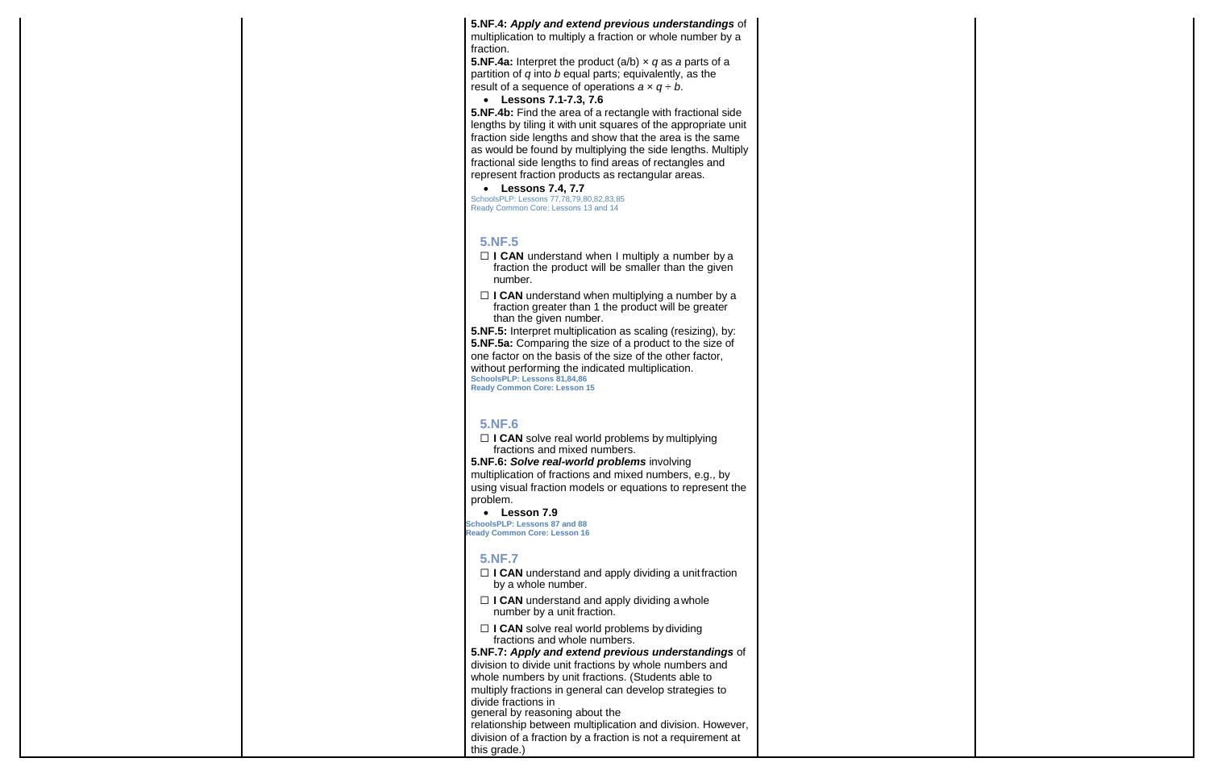#### **5.NF.4:** *Apply and extend previous understandings* of

**5.NF.4a:** Interpret the product (a/b) *× q* as *a* parts of a partition of *q* into *b* equal parts; equivalently, as the result of a sequence of operations  $a \times q \div b$ .

multiplication to multiply a fraction or whole number by a fraction.

#### **Lessons 7.1-7.3, 7.6**

**5.NF.4b:** Find the area of a rectangle with fractional side lengths by tiling it with unit squares of the appropriate unit fraction side lengths and show that the area is the same as would be found by multiplying the side lengths. Multiply fractional side lengths to find areas of rectangles and represent fraction products as rectangular areas.

- □ **I CAN** understand when I multiply a number by a fraction the product will be smaller than the given number.
- □ **I CAN** understand when multiplying a number by a fraction greater than 1 the product will be greater than the given number.

#### **Lessons 7.4, 7.7**

□ **I CAN** solve real world problems by multiplying fractions and mixed numbers.

SchoolsPLP: Lessons 77,78,79,80,82,83,85 Ready Common Core: Lessons 13 and 14

#### **5.NF.5**

- □ **I CAN** understand and apply dividing a unit fraction by a whole number.
- ☐ **I CAN** understand and apply dividing awhole number by a unit fraction.
- □ **I CAN** solve real world problems by dividing fractions and whole numbers.

**5.NF.5:** Interpret multiplication as scaling (resizing), by: **5.NF.5a:** Comparing the size of a product to the size of one factor on the basis of the size of the other factor, without performing the indicated multiplication. **SchoolsPLP: Lessons 81,84,86 Ready Common Core: Lesson 15**

#### **5.NF.6**

**5.NF.6:** *Solve real-world problems* involving multiplication of fractions and mixed numbers, e.g., by using visual fraction models or equations to represent the problem.

 **Lesson 7.9 SchoolsPLP: Lessons 87 and 88 Ready Common Core: Lesson 16**

#### **5.NF.7**

**5.NF.7:** *Apply and extend previous understandings* of division to divide unit fractions by whole numbers and whole numbers by unit fractions. (Students able to multiply fractions in general can develop strategies to divide fractions in general by reasoning about the

relationship between multiplication and division. However, division of a fraction by a fraction is not a requirement at this grade.)

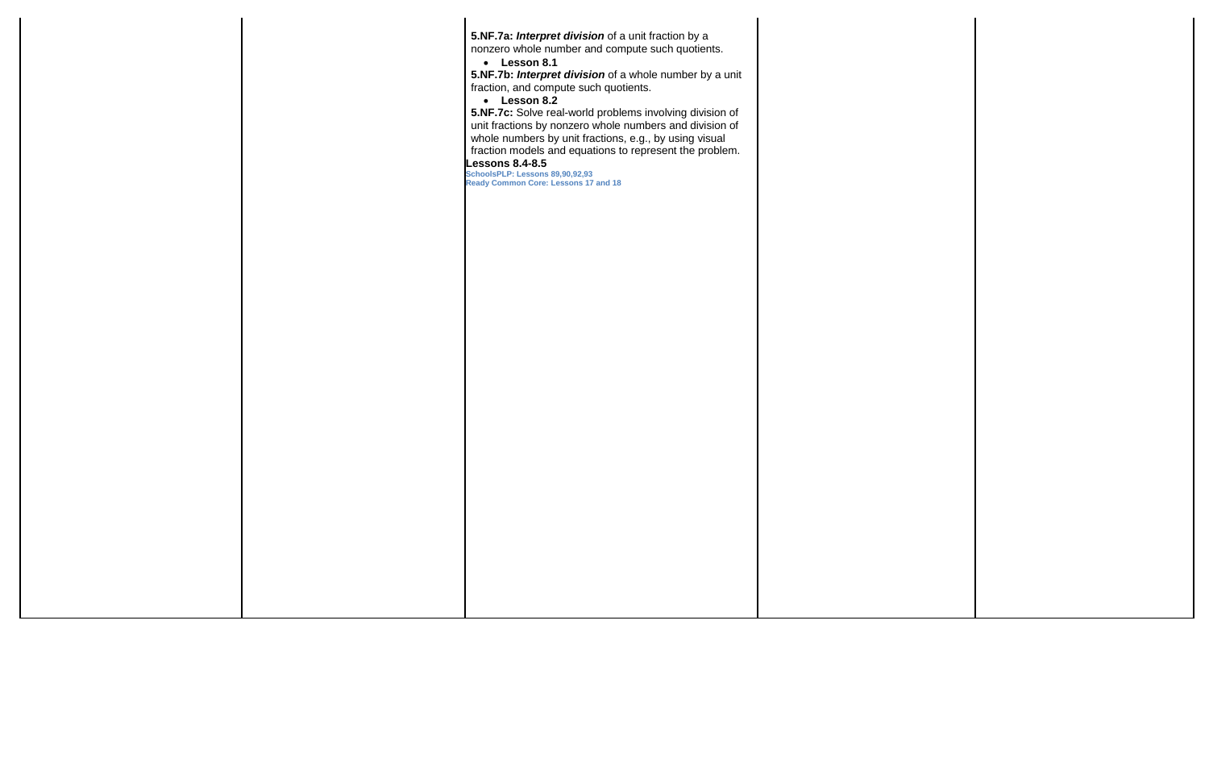**5.NF.7a:** *Interpret division* of a unit fraction by a nonzero whole number and compute such quotients. **Lesson 8.1 5.NF.7b:** *Interpret division* of a whole number by a unit fraction, and compute such quotients. **Lesson 8.2 5.NF.7c:** Solve real-world problems involving division of unit fractions by nonzero whole numbers and division of whole numbers by unit fractions, e.g., by using visual fraction models and equations to represent the problem. **Lessons 8.4-8.5 SchoolsPLP: Lessons 89,90,92,93 Ready Common Core: Lessons 17 and 18**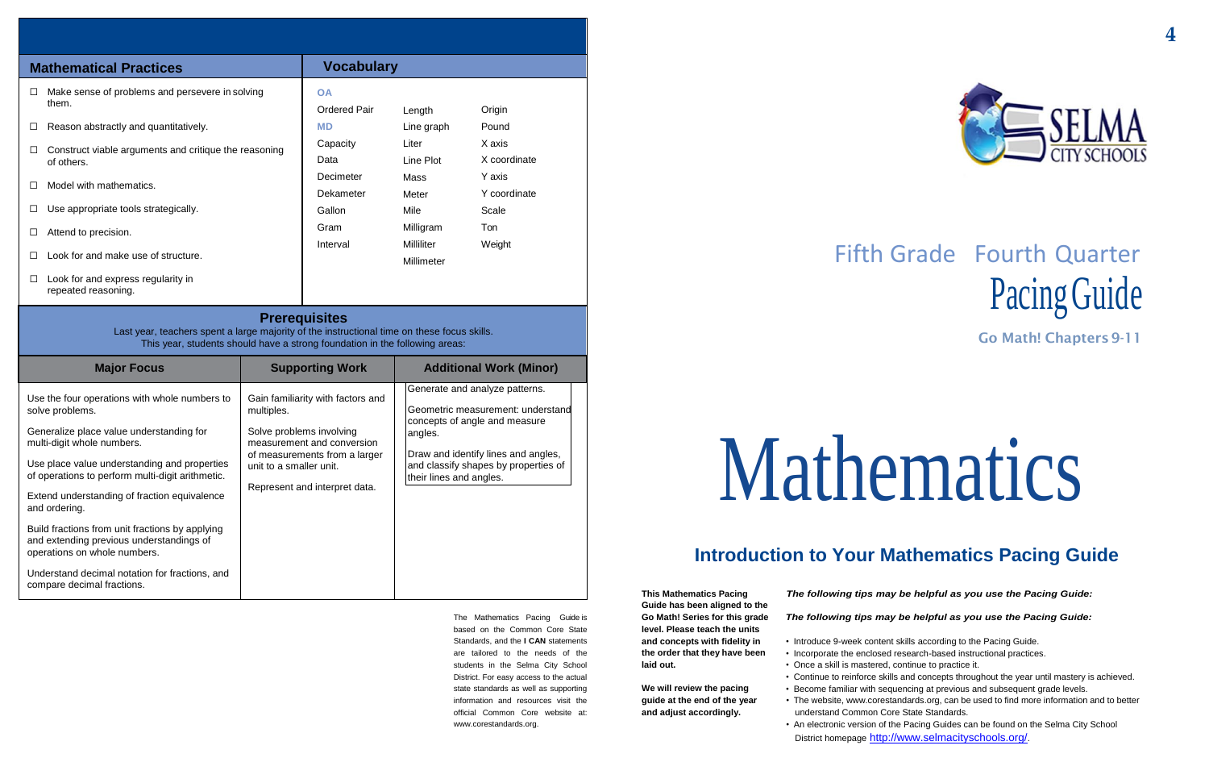# Fifth Grade Fourth Quarter Pacing Guide

**Go Math! Chapters9-11**

# Mathematics

## **Introduction to Your Mathematics Pacing Guide**

The Mathematics Pacing Guide is based on the Common Core State Standards, and the **I CAN** statements are tailored to the needs of the students in the Selma City School District. For easy access to the actual state standards as well as supporting information and resources visit the official Common Core website at: [www.corestandards.org.](http://www.corestandards.org/)

**This Mathematics Pacing Guide has been aligned to the Go Math! Series for this grade level. Please teach the units and concepts with fidelity in the order that they have been laid out.**

**We will review the pacing guide at the end of the year and adjust accordingly.**

#### *The following tips may be helpful as you use the Pacing Guide:*

#### *The following tips may be helpful as you use the Pacing Guide:*

- Introduce 9-week content skills according to the Pacing Guide.
- Incorporate the enclosed research-based instructional practices.
- Once a skill is mastered, continue to practice it.
- The website, [www.corestandards.org,](http://www.corestandards.org/) can be used to find more information and to better
- 
- 
- 
- Continue to reinforce skills and concepts throughout the year until mastery is achieved. • Become familiar with sequencing at previous and subsequent grade levels.
- 
- understand Common Core State Standards.
- An electronic version of the Pacing Guides can be found on the Selma City School District homepage <http://www.selmacityschools.org/>.



| <b>Mathematical Practices</b>                                                 | <b>Vocabulary</b>                |                          |                        |  |
|-------------------------------------------------------------------------------|----------------------------------|--------------------------|------------------------|--|
| Make sense of problems and persevere in solving<br>$\Box$<br>them.            | <b>OA</b><br><b>Ordered Pair</b> | Length                   | Origin                 |  |
| Reason abstractly and quantitatively.                                         | <b>MD</b>                        | Line graph               | Pound                  |  |
| Construct viable arguments and critique the reasoning<br>$\Box$<br>of others. | Capacity<br>Data                 | Liter<br>Line Plot       | X axis<br>X coordinate |  |
| Model with mathematics.                                                       | Decimeter                        | Mass                     | Y axis                 |  |
| Use appropriate tools strategically.                                          | Dekameter<br>Gallon              | Meter<br>Mile            | Y coordinate<br>Scale  |  |
| Attend to precision.                                                          | Gram                             | Milligram                | Ton                    |  |
| Look for and make use of structure.                                           | Interval                         | Milliliter<br>Millimeter | Weight                 |  |
| Look for and express regularity in<br>Ш<br>repeated reasoning.                |                                  |                          |                        |  |

#### **Prerequisites**

Last year, teachers spent a large majority of the instructional time on these focus skills. This year, students should have a strong foundation in the following areas:

| <b>Major Focus</b>                                                                                                                                                                                                                                                                                                                                                 | <b>Supporting Work</b>                                                                                                                                                                                 | <b>Additional Work (Minor)</b>                                                                                                                                                                                            |
|--------------------------------------------------------------------------------------------------------------------------------------------------------------------------------------------------------------------------------------------------------------------------------------------------------------------------------------------------------------------|--------------------------------------------------------------------------------------------------------------------------------------------------------------------------------------------------------|---------------------------------------------------------------------------------------------------------------------------------------------------------------------------------------------------------------------------|
| Use the four operations with whole numbers to<br>solve problems.<br>Generalize place value understanding for<br>multi-digit whole numbers.<br>Use place value understanding and properties<br>of operations to perform multi-digit arithmetic.<br>Extend understanding of fraction equivalence<br>and ordering.<br>Build fractions from unit fractions by applying | Gain familiarity with factors and<br>multiples.<br>Solve problems involving<br>measurement and conversion<br>of measurements from a larger<br>unit to a smaller unit.<br>Represent and interpret data. | Generate and analyze patterns.<br>Geometric measurement: understand<br>concepts of angle and measure<br>angles.<br>Draw and identify lines and angles,<br>and classify shapes by properties of<br>their lines and angles. |
| and extending previous understandings of<br>operations on whole numbers.<br>Understand decimal notation for fractions, and<br>compare decimal fractions.                                                                                                                                                                                                           |                                                                                                                                                                                                        |                                                                                                                                                                                                                           |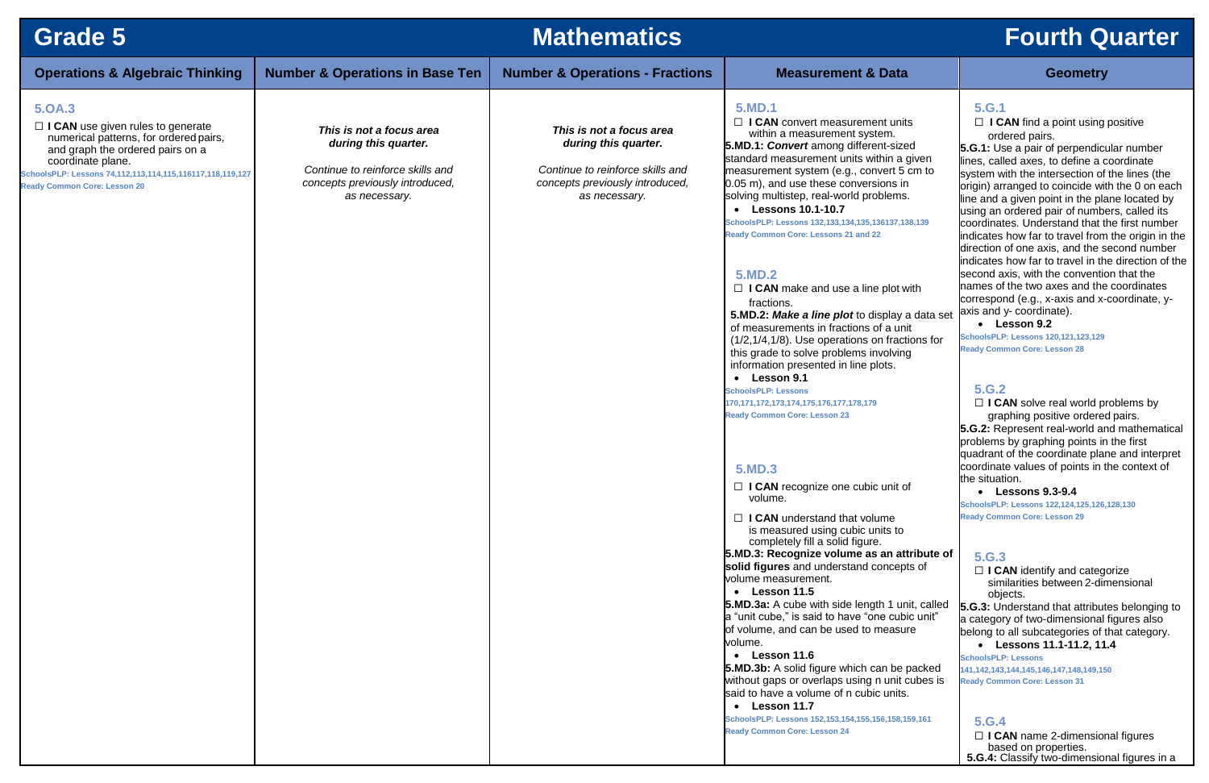| <b>Grade 5</b>                                                                                                                                                                                                                                            |                                                                                                                                          | <b>Mathematics</b>                                                                                                                       |                                                                                                                                                                                                                                                                                                                                                                                                                                                                                                                                                                                                                                                                                                                                                                                                                                                                                                                                                                                                                                                                                                                                                                                                                                                                                                                                                                                                                                                                                                                                                                                                                                                                    | <b>Fourth Quarter</b>                                                                                                                                                                                                                                                                                                                                                                                                                                                                                                                                                                                                                                                                                                                                                                                                                                                                                                                                                                                                                                                                                                                                                                                                                                                                                                                                                                                                                                                                                                                                                                                                                                                                                                                                                                                                               |
|-----------------------------------------------------------------------------------------------------------------------------------------------------------------------------------------------------------------------------------------------------------|------------------------------------------------------------------------------------------------------------------------------------------|------------------------------------------------------------------------------------------------------------------------------------------|--------------------------------------------------------------------------------------------------------------------------------------------------------------------------------------------------------------------------------------------------------------------------------------------------------------------------------------------------------------------------------------------------------------------------------------------------------------------------------------------------------------------------------------------------------------------------------------------------------------------------------------------------------------------------------------------------------------------------------------------------------------------------------------------------------------------------------------------------------------------------------------------------------------------------------------------------------------------------------------------------------------------------------------------------------------------------------------------------------------------------------------------------------------------------------------------------------------------------------------------------------------------------------------------------------------------------------------------------------------------------------------------------------------------------------------------------------------------------------------------------------------------------------------------------------------------------------------------------------------------------------------------------------------------|-------------------------------------------------------------------------------------------------------------------------------------------------------------------------------------------------------------------------------------------------------------------------------------------------------------------------------------------------------------------------------------------------------------------------------------------------------------------------------------------------------------------------------------------------------------------------------------------------------------------------------------------------------------------------------------------------------------------------------------------------------------------------------------------------------------------------------------------------------------------------------------------------------------------------------------------------------------------------------------------------------------------------------------------------------------------------------------------------------------------------------------------------------------------------------------------------------------------------------------------------------------------------------------------------------------------------------------------------------------------------------------------------------------------------------------------------------------------------------------------------------------------------------------------------------------------------------------------------------------------------------------------------------------------------------------------------------------------------------------------------------------------------------------------------------------------------------------|
| <b>Operations &amp; Algebraic Thinking</b>                                                                                                                                                                                                                | <b>Number &amp; Operations in Base Ten</b>                                                                                               | <b>Number &amp; Operations - Fractions</b>                                                                                               | <b>Measurement &amp; Data</b>                                                                                                                                                                                                                                                                                                                                                                                                                                                                                                                                                                                                                                                                                                                                                                                                                                                                                                                                                                                                                                                                                                                                                                                                                                                                                                                                                                                                                                                                                                                                                                                                                                      | <b>Geometry</b>                                                                                                                                                                                                                                                                                                                                                                                                                                                                                                                                                                                                                                                                                                                                                                                                                                                                                                                                                                                                                                                                                                                                                                                                                                                                                                                                                                                                                                                                                                                                                                                                                                                                                                                                                                                                                     |
| 5.0A.3<br>$\Box$ I CAN use given rules to generate<br>numerical patterns, for ordered pairs,<br>and graph the ordered pairs on a<br>coordinate plane.<br>SchoolsPLP: Lessons 74,112,113,114,115,116117,118,119,127<br><b>Ready Common Core: Lesson 20</b> | This is not a focus area<br>during this quarter.<br>Continue to reinforce skills and<br>concepts previously introduced,<br>as necessary. | This is not a focus area<br>during this quarter.<br>Continue to reinforce skills and<br>concepts previously introduced,<br>as necessary. | 5.MD.1<br>$\Box$ I CAN convert measurement units<br>within a measurement system.<br><b>5.MD.1: Convert among different-sized</b><br>standard measurement units within a given<br>measurement system (e.g., convert 5 cm to<br>0.05 m), and use these conversions in<br>solving multistep, real-world problems.<br>• Lessons 10.1-10.7<br>SchoolsPLP: Lessons 132,133,134,135,136137,138,139<br><b>Ready Common Core: Lessons 21 and 22</b><br>5.MD.2<br>$\Box$ I CAN make and use a line plot with<br>fractions.<br>5.MD.2: Make a line plot to display a data set<br>of measurements in fractions of a unit<br>$(1/2, 1/4, 1/8)$ . Use operations on fractions for<br>this grade to solve problems involving<br>information presented in line plots.<br>• Lesson 9.1<br><b>SchoolsPLP: Lessons</b><br>170.171.172.173.174.175.176.177.178.179<br><b>Ready Common Core: Lesson 23</b><br><b>5.MD.3</b><br>$\Box$ I CAN recognize one cubic unit of<br>volume.<br>$\Box$ I CAN understand that volume<br>is measured using cubic units to<br>completely fill a solid figure.<br>5.MD.3: Recognize volume as an attribute of<br>solid figures and understand concepts of<br>volume measurement.<br>• Lesson 11.5<br><b>5.MD.3a:</b> A cube with side length 1 unit, called<br>a "unit cube," is said to have "one cubic unit"<br>of volume, and can be used to measure<br>volume.<br>• Lesson 11.6<br><b>5.MD.3b:</b> A solid figure which can be packed<br>without gaps or overlaps using n unit cubes is<br>said to have a volume of n cubic units.<br>• Lesson 11.7<br>SchoolsPLP: Lessons 152,153,154,155,156,158,159,161<br><b>Ready Common Core: Lesson 24</b> | 5.G.1<br>$\Box$ I CAN find a point using positive<br>ordered pairs.<br>5.G.1: Use a pair of perpendicular number<br>lines, called axes, to define a coordinate<br>system with the intersection of the lines (the<br>origin) arranged to coincide with the 0 on each<br>line and a given point in the plane located by<br>using an ordered pair of numbers, called its<br>coordinates. Understand that the first number<br>indicates how far to travel from the origin in the<br>direction of one axis, and the second number<br>indicates how far to travel in the direction of the<br>second axis, with the convention that the<br>names of the two axes and the coordinates<br>correspond (e.g., x-axis and x-coordinate, y-<br>axis and y- coordinate).<br>$\bullet$ Lesson 9.2<br><b>SchoolsPLP: Lessons 120,121,123,129</b><br><b>Ready Common Core: Lesson 28</b><br>5.G.2<br>$\Box$ I CAN solve real world problems by<br>graphing positive ordered pairs.<br>5.G.2: Represent real-world and mathematical<br>problems by graphing points in the first<br>quadrant of the coordinate plane and interpret<br>coordinate values of points in the context of<br>the situation.<br>• Lessons 9.3-9.4<br>SchoolsPLP: Lessons 122,124,125,126,128,130<br><b>Ready Common Core: Lesson 29</b><br>5.G.3<br>$\Box$ I CAN identify and categorize<br>similarities between 2-dimensional<br>objects.<br>5.G.3: Understand that attributes belonging to<br>a category of two-dimensional figures also<br>belong to all subcategories of that category.<br>• Lessons 11.1-11.2, 11.4<br><b>SchoolsPLP: Lessons</b><br>141, 142, 143, 144, 145, 146, 147, 148, 149, 150<br><b>Ready Common Core: Lesson 31</b><br>5.G.4<br>$\Box$ I CAN name 2-dimensional figures<br>based on properties.<br>5.G.4: Classify two-dimensional figures in a |